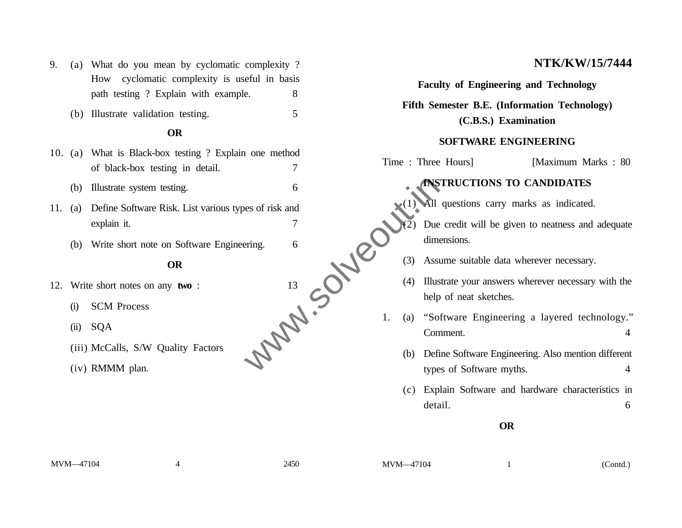- 9. (a) What do you mean by cyclomatic complexity ? How cyclomatic complexity is useful in basis path testing ? Explain with example. 8
	- (b) Illustrate validation testing. 5

# **OR**

- 10. (a) What is Black-box testing ? Explain one method of black-box testing in detail. 7
	- (b) Illustrate system testing. 6
- 11. (a) Define Software Risk. List various types of risk and explain it. 7
	- (b) Write short note on Software Engineering.

### **OR**

- 12. Write short notes on any **two** :
	- (i) SCM Process
	- (ii) SQA
	- (iii) McCalls, S/W Quality Factors
	-



# **NTK/KW/15/7444**

## **Faculty of Engineering and Technology**

**Fifth Semester B.E. (Information Technology)**

**(C.B.S.) Examination**

### **SOFTWARE ENGINEERING**

Time : Three Hours] [Maximum Marks : 80]

#### **INSTRUCTIONS TO CANDIDATES**

- All questions carry marks as indicated.
- Due credit will be given to neatness and adequate dimensions.
- (3) Assume suitable data wherever necessary.
- (4) Illustrate your answers wherever necessary with the help of neat sketches.
- 1. (a) "Software Engineering a layered technology." Comment. 4
	- (b) Define Software Engineering. Also mention different types of Software myths. 4
	- (c) Explain Software and hardware characteristics in detail. 6

#### **OR**